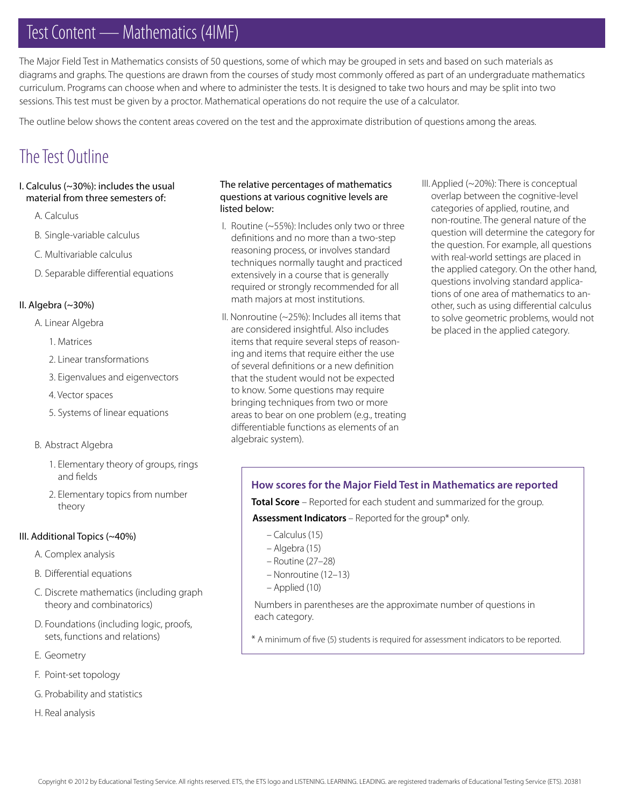# Test Content — Mathematics (4IMF)

The Major Field Test in Mathematics consists of 50 questions, some of which may be grouped in sets and based on such materials as diagrams and graphs. The questions are drawn from the courses of study most commonly offered as part of an undergraduate mathematics curriculum. Programs can choose when and where to administer the tests. It is designed to take two hours and may be split into two sessions. This test must be given by a proctor. Mathematical operations do not require the use of a calculator.

The outline below shows the content areas covered on the test and the approximate distribution of questions among the areas.

## The Test Outline

#### I. Calculus (~30%): includes the usual material from three semesters of:

- A. Calculus
- B. Single-variable calculus
- C. Multivariable calculus
- D. Separable differential equations

#### II. Algebra (~30%)

- A. Linear Algebra
	- 1. Matrices
	- 2. Linear transformations
	- 3. Eigenvalues and eigenvectors
	- 4. Vector spaces
	- 5. Systems of linear equations

#### B. Abstract Algebra

- 1. Elementary theory of groups, rings and fields
- 2. Elementary topics from number theory

#### III. Additional Topics (~40%)

- A. Complex analysis
- B. Differential equations
- C. Discrete mathematics (including graph theory and combinatorics)
- D. Foundations (including logic, proofs, sets, functions and relations)
- E. Geometry
- F. Point-set topology
- G. Probability and statistics
- H. Real analysis

#### The relative percentages of mathematics questions at various cognitive levels are listed below:

- I. Routine (~55%): Includes only two or three definitions and no more than a two-step reasoning process, or involves standard techniques normally taught and practiced extensively in a course that is generally required or strongly recommended for all math majors at most institutions.
- II. Nonroutine (~25%): Includes all items that are considered insightful. Also includes items that require several steps of reasoning and items that require either the use of several definitions or a new definition that the student would not be expected to know. Some questions may require bringing techniques from two or more areas to bear on one problem (e.g., treating differentiable functions as elements of an algebraic system).
- III. Applied (~20%): There is conceptual overlap between the cognitive-level categories of applied, routine, and non-routine. The general nature of the question will determine the category for the question. For example, all questions with real-world settings are placed in the applied category. On the other hand, questions involving standard applications of one area of mathematics to another, such as using differential calculus to solve geometric problems, would not be placed in the applied category.

### **How scores for the Major Field Test in Mathematics are reported**

**Total Score** – Reported for each student and summarized for the group.

**Assessment Indicators** – Reported for the group\* only.

- Calculus (15)
- Algebra (15)
- Routine (27–28)
- Nonroutine (12–13)
- Applied (10)

Numbers in parentheses are the approximate number of questions in each category.

\* A minimum of five (5) students is required for assessment indicators to be reported.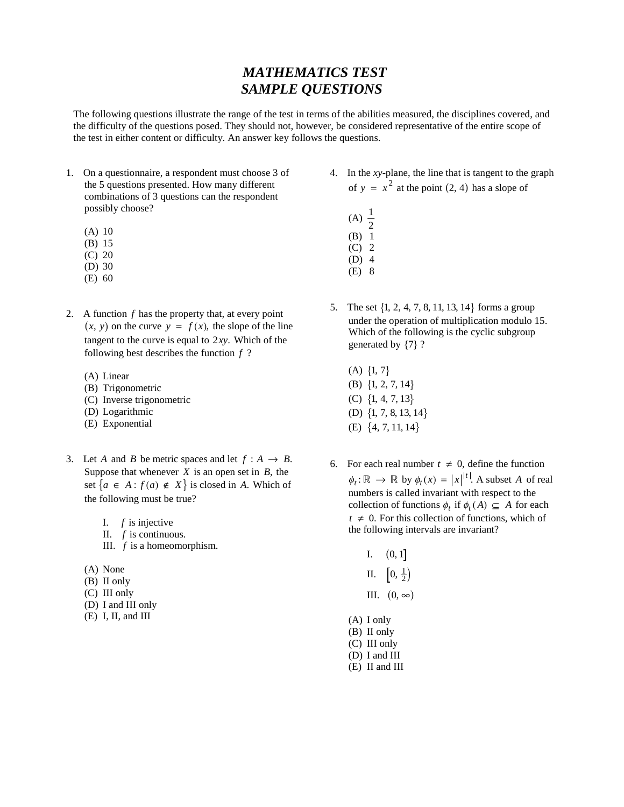### *MATHEMATICS TEST SAMPLE QUESTIONS*

The following questions illustrate the range of the test in terms of the abilities measured, the disciplines covered, and the difficulty of the questions posed. They should not, however, be considered representative of the entire scope of the test in either content or difficulty. An answer key follows the questions.

- 1. On a questionnaire, a respondent must choose 3 of the 5 questions presented. How many different combinations of 3 questions can the respondent possibly choose?
	- (A) 10
	- (B) 15
	- (C) 20
	- (D) 30
	- (E) 60
- 2. A function *f* has the property that, at every point A function *f* has the property that, at every point  $(x, y)$  on the curve  $y = f(x)$ , the slope of the line tangent to the curve is equal to 2*xy*. Which of the following best describes the function *f* ?
	- (A) Linear
	- (B) Trigonometric
	- (C) Inverse trigonometric
	- (D) Logarithmic
	- (E) Exponential
- 3. Let *A* and *B* be metric spaces and let  $f : A \rightarrow B$ . Suppose that whenever *X* is an open set in *B*, the suppose that where ver  $\overline{A}$  is an open set in *B*, the set  $\{a \in A : f(a) \notin X\}$  is closed in *A*. Which of the following must be true?
	- I. *f* is injective
	- II. *f* is continuous.
	- III. *f* is a homeomorphism.
	- (A) None
	- (B) II only
	- (C) III only
	- (D) I and III only
	- (E) I, II, and III
- 4. In the *xy*-plane, the line that is tangent to the graph of  $y = x^2$  at the point (2, 4) has a slope of
	- (A)  $\frac{1}{2}$ (B) 1 (C) 2 (D) 4
	- (E) 8
- 5. The set  $\{1, 2, 4, 7, 8, 11, 13, 14\}$  forms a group under the operation of multiplication modulo 15. Which of the following is the cyclic subgroup generated by  $\{7\}$ ?
	- $(A) \{1, 7\}$ (B)  $\{1, 2, 7, 14\}$ (C)  $\{1, 4, 7, 13\}$ (D)  $\{1, 7, 8, 13, 14\}$ (E)  $\{4, 7, 11, 14\}$
- 6. For each real number  $t \neq 0$ , define the function  $\phi_t$ :  $\mathbb{R} \to \mathbb{R}$  by  $\phi_t(x) = |x|^{t}$ . A subset *A* of real numbers is called invariant with respect to the collection of functions  $\phi_t$  if  $\phi_t(A) \subseteq A$  for each  $t \neq 0$ . For this collection of functions, which of the following intervals are invariant?
	- I.  $(0, 1]$ II.  $\left[0, \frac{1}{2}\right)$
	-
	- III.  $(0, \infty)$
	- (A) I only (B) II only
	- (C) III only
	- (D) I and III
	- (E) II and III